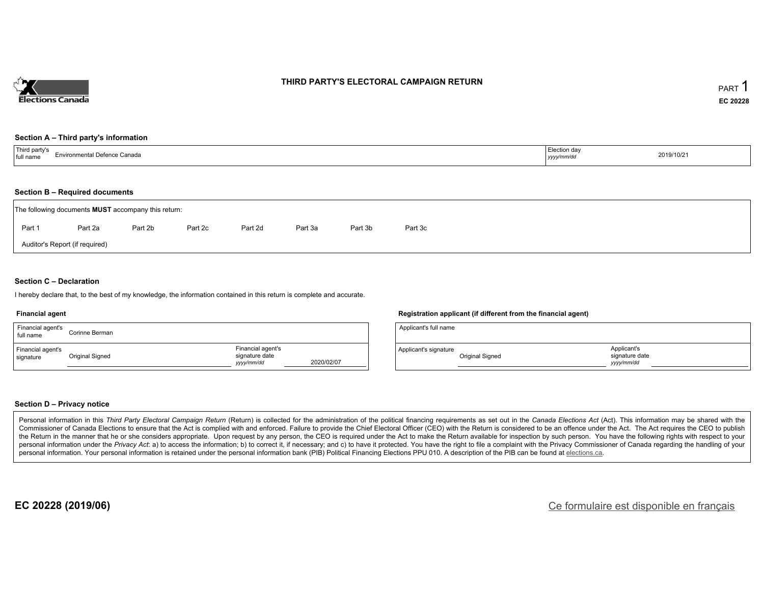

### **THIRD PARTY'S ELECTORAL CAMPAIGN RETURN**

#### **Section A – Third party's information**

| <sup>'</sup> <sup>Third</sup> party's<br>rironmental Defence Canada<br>full name | Election day<br>the contract of the contract of the contract of the contract of the contract of<br>yyyy/mm/dd | 2019/10/21 |
|----------------------------------------------------------------------------------|---------------------------------------------------------------------------------------------------------------|------------|
|----------------------------------------------------------------------------------|---------------------------------------------------------------------------------------------------------------|------------|

#### **Section B – Required documents**

|        | The following documents <b>MUST</b> accompany this return: |         |         |         |         |         |         |
|--------|------------------------------------------------------------|---------|---------|---------|---------|---------|---------|
| Part 1 | Part 2a                                                    | Part 2b | Part 2c | Part 2d | Part 3a | Part 3b | Part 3c |
|        | Auditor's Report (if required)                             |         |         |         |         |         |         |

### **Section C – Declaration**

I hereby declare that, to the best of my knowledge, the information contained in this return is complete and accurate.

#### **Financial agent**

| Financial agent's<br>full name | Corinne Berman  |                                                  |            |
|--------------------------------|-----------------|--------------------------------------------------|------------|
| Financial agent's<br>signature | Original Signed | Financial agent's<br>signature date<br>vyy/mm/dd | 2020/02/07 |

#### **Registration applicant (if different from the financial agent)**

| Applicant's full name |                 |                                            |  |
|-----------------------|-----------------|--------------------------------------------|--|
| Applicant's signature | Original Signed | Applicant's<br>signature date<br>vyy/mm/dd |  |

### **Section D – Privacy notice**

Personal information in this Third Party Electoral Campaign Return (Return) is collected for the administration of the political financing requirements as set out in the Canada Elections Act (Act). This information may be Commissioner of Canada Elections to ensure that the Act is complied with and enforced. Failure to provide the Chief Electoral Officer (CEO) with the Return is considered to be an offence under the Act. The Act requires the the Return in the manner that he or she considers appropriate. Upon request by any person, the CEO is required under the Act to make the Return available for inspection by such person. You have the following rights with re personal information under the Privacy Act: a) to access the information; b) to correct it, if necessary; and c) to have it protected. You have the right to file a complaint with the Privacy Commissioner of Canada regardin personal information. Your personal information is retained under the personal information bank (PIB) Political Financing Elections PPU 010. A description of the PIB can be found at elections.ca.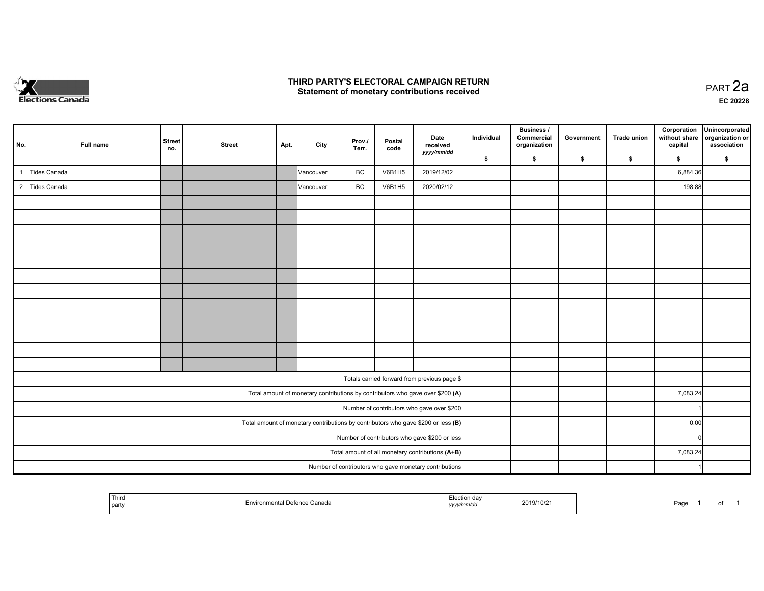

## **THIRD PARTY'S ELECTORAL CAMPAIGN RETURN HIRD PARTY'S ELECTORAL CAMPAIGN RETURN<br>Statement of monetary contributions received PART 2a PART 2a**

**EC 20228**

| No. | Full name      | <b>Street</b><br>no. | <b>Street</b> | Apt. | City      | Prov./<br>Terr. | Postal<br>code | Date<br>received<br>yyyy/mm/dd                                                      | Individual | <b>Business /</b><br>Commercial<br>organization | Government | Trade union | Corporation<br>without share<br>capital | Unincorporated<br>organization or<br>association |
|-----|----------------|----------------------|---------------|------|-----------|-----------------|----------------|-------------------------------------------------------------------------------------|------------|-------------------------------------------------|------------|-------------|-----------------------------------------|--------------------------------------------------|
|     |                |                      |               |      |           |                 |                |                                                                                     | \$         | \$                                              | \$         | \$          | \$                                      | \$                                               |
|     | Tides Canada   |                      |               |      | Vancouver | BC              | <b>V6B1H5</b>  | 2019/12/02                                                                          |            |                                                 |            |             | 6,884.36                                |                                                  |
|     | 2 Tides Canada |                      |               |      | Vancouver | BC              | <b>V6B1H5</b>  | 2020/02/12                                                                          |            |                                                 |            |             | 198.88                                  |                                                  |
|     |                |                      |               |      |           |                 |                |                                                                                     |            |                                                 |            |             |                                         |                                                  |
|     |                |                      |               |      |           |                 |                |                                                                                     |            |                                                 |            |             |                                         |                                                  |
|     |                |                      |               |      |           |                 |                |                                                                                     |            |                                                 |            |             |                                         |                                                  |
|     |                |                      |               |      |           |                 |                |                                                                                     |            |                                                 |            |             |                                         |                                                  |
|     |                |                      |               |      |           |                 |                |                                                                                     |            |                                                 |            |             |                                         |                                                  |
|     |                |                      |               |      |           |                 |                |                                                                                     |            |                                                 |            |             |                                         |                                                  |
|     |                |                      |               |      |           |                 |                |                                                                                     |            |                                                 |            |             |                                         |                                                  |
|     |                |                      |               |      |           |                 |                |                                                                                     |            |                                                 |            |             |                                         |                                                  |
|     |                |                      |               |      |           |                 |                |                                                                                     |            |                                                 |            |             |                                         |                                                  |
|     |                |                      |               |      |           |                 |                |                                                                                     |            |                                                 |            |             |                                         |                                                  |
|     |                |                      |               |      |           |                 |                |                                                                                     |            |                                                 |            |             |                                         |                                                  |
|     |                |                      |               |      |           |                 |                |                                                                                     |            |                                                 |            |             |                                         |                                                  |
|     |                |                      |               |      |           |                 |                | Totals carried forward from previous page \$                                        |            |                                                 |            |             |                                         |                                                  |
|     |                |                      |               |      |           |                 |                | Total amount of monetary contributions by contributors who gave over \$200 (A)      |            |                                                 |            |             | 7,083.24                                |                                                  |
|     |                |                      |               |      |           |                 |                | Number of contributors who gave over \$200                                          |            |                                                 |            |             |                                         |                                                  |
|     |                |                      |               |      |           |                 |                | Total amount of monetary contributions by contributors who gave \$200 or less $(B)$ |            |                                                 |            |             | 0.00                                    |                                                  |
|     |                |                      |               |      |           |                 |                | Number of contributors who gave \$200 or less                                       |            |                                                 |            |             | $\overline{0}$                          |                                                  |
|     |                |                      |               |      |           |                 |                | Total amount of all monetary contributions (A+B)                                    |            |                                                 |            |             | 7,083.24                                |                                                  |
|     |                |                      |               |      |           |                 |                | Number of contributors who gave monetary contributions                              |            |                                                 |            |             |                                         |                                                  |

|  | Third<br>' party | Canada | ,,, ua<br>,,,,, | 2019/10/2<br>the contract of the contract of the contract of the contract of the contract of | Page<br>-- |  | . |  |
|--|------------------|--------|-----------------|----------------------------------------------------------------------------------------------|------------|--|---|--|
|--|------------------|--------|-----------------|----------------------------------------------------------------------------------------------|------------|--|---|--|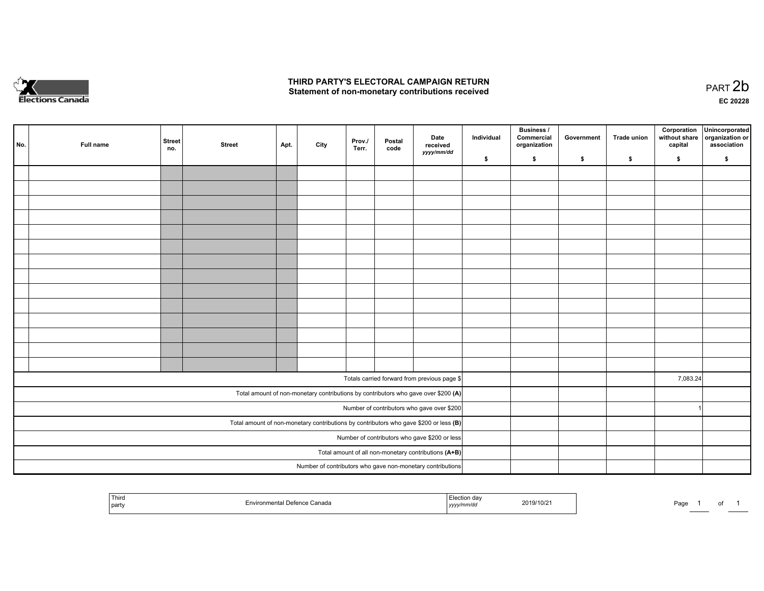

## **THIRD PARTY'S ELECTORAL CAMPAIGN RETURN**  THIRD PARTY'S ELECTORAL CAMPAIGN RETURN<br>Statement of non-monetary contributions received

of 1

| No. | Full name | <b>Street</b><br>no. | <b>Street</b> | Apt. | City | Prov./<br>Terr. | Postal<br>code | Date<br>received<br>yyyy/mm/dd                                                          | Individual | <b>Business /</b><br>Commercial<br>organization | Government | Trade union | Corporation<br>without share<br>capital | Unincorporated<br>organization or<br>association |
|-----|-----------|----------------------|---------------|------|------|-----------------|----------------|-----------------------------------------------------------------------------------------|------------|-------------------------------------------------|------------|-------------|-----------------------------------------|--------------------------------------------------|
|     |           |                      |               |      |      |                 |                |                                                                                         | \$         | \$                                              | \$         | \$          | \$                                      | \$                                               |
|     |           |                      |               |      |      |                 |                |                                                                                         |            |                                                 |            |             |                                         |                                                  |
|     |           |                      |               |      |      |                 |                |                                                                                         |            |                                                 |            |             |                                         |                                                  |
|     |           |                      |               |      |      |                 |                |                                                                                         |            |                                                 |            |             |                                         |                                                  |
|     |           |                      |               |      |      |                 |                |                                                                                         |            |                                                 |            |             |                                         |                                                  |
|     |           |                      |               |      |      |                 |                |                                                                                         |            |                                                 |            |             |                                         |                                                  |
|     |           |                      |               |      |      |                 |                |                                                                                         |            |                                                 |            |             |                                         |                                                  |
|     |           |                      |               |      |      |                 |                |                                                                                         |            |                                                 |            |             |                                         |                                                  |
|     |           |                      |               |      |      |                 |                |                                                                                         |            |                                                 |            |             |                                         |                                                  |
|     |           |                      |               |      |      |                 |                |                                                                                         |            |                                                 |            |             |                                         |                                                  |
|     |           |                      |               |      |      |                 |                |                                                                                         |            |                                                 |            |             |                                         |                                                  |
|     |           |                      |               |      |      |                 |                |                                                                                         |            |                                                 |            |             |                                         |                                                  |
|     |           |                      |               |      |      |                 |                |                                                                                         |            |                                                 |            |             |                                         |                                                  |
|     |           |                      |               |      |      |                 |                |                                                                                         |            |                                                 |            |             |                                         |                                                  |
|     |           |                      |               |      |      |                 |                |                                                                                         |            |                                                 |            |             |                                         |                                                  |
|     |           |                      |               |      |      |                 |                |                                                                                         |            |                                                 |            |             |                                         |                                                  |
|     |           |                      |               |      |      |                 |                | Totals carried forward from previous page \$                                            |            |                                                 |            |             | 7,083.24                                |                                                  |
|     |           |                      |               |      |      |                 |                | Total amount of non-monetary contributions by contributors who gave over \$200 (A)      |            |                                                 |            |             |                                         |                                                  |
|     |           |                      |               |      |      |                 |                | Number of contributors who gave over \$200                                              |            |                                                 |            |             |                                         |                                                  |
|     |           |                      |               |      |      |                 |                | Total amount of non-monetary contributions by contributors who gave \$200 or less $(B)$ |            |                                                 |            |             |                                         |                                                  |
|     |           |                      |               |      |      |                 |                | Number of contributors who gave \$200 or less                                           |            |                                                 |            |             |                                         |                                                  |
|     |           |                      |               |      |      |                 |                | Total amount of all non-monetary contributions (A+B)                                    |            |                                                 |            |             |                                         |                                                  |
|     |           |                      |               |      |      |                 |                | Number of contributors who gave non-monetary contributions                              |            |                                                 |            |             |                                         |                                                  |
|     |           |                      |               |      |      |                 |                |                                                                                         |            |                                                 |            |             |                                         |                                                  |

| Third<br>party | ' Dofonco<br>Canada<br>≡HVII | :/mm/dc<br>, уууу | 2019/10/21 | Pag. |  |
|----------------|------------------------------|-------------------|------------|------|--|
|----------------|------------------------------|-------------------|------------|------|--|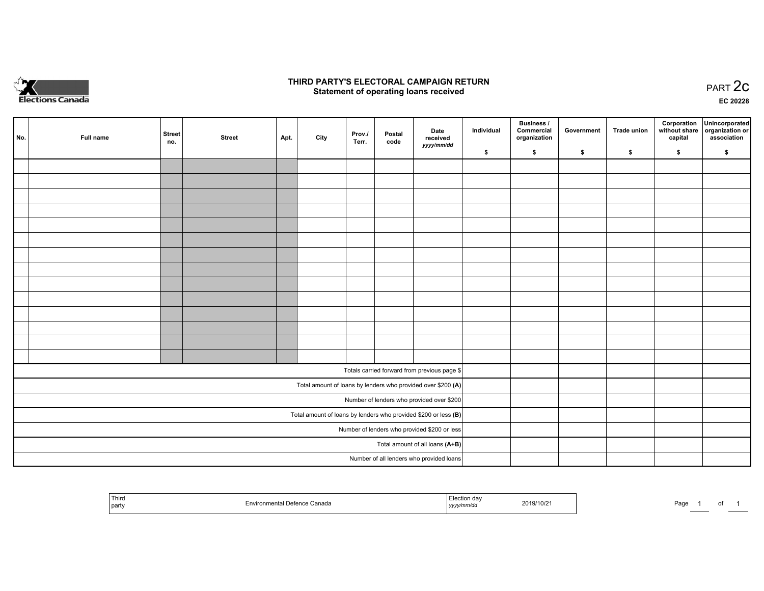

## **THIRD PARTY'S ELECTORAL CAMPAIGN RETURN STATE:** PRACT OF OPPRESS TO PART 2C STATE STATE STATE STATE STATE STATE STATE STATE STATE STATE STATE STATE STA<br>PART 2C Statement of operating loans received

**EC 20228**

| No. | Full name | <b>Street</b><br>no. | <b>Street</b> | Apt. | City | Prov./<br>Terr. | Postal<br>code | Date<br>received                                                | Individual | <b>Business /</b><br>Commercial<br>organization | Government | <b>Trade union</b> | Corporation<br>capital | Unincorporated<br>without share   organization or<br>association |
|-----|-----------|----------------------|---------------|------|------|-----------------|----------------|-----------------------------------------------------------------|------------|-------------------------------------------------|------------|--------------------|------------------------|------------------------------------------------------------------|
|     |           |                      |               |      |      |                 |                | yyyy/mm/dd                                                      | \$         | \$                                              | \$         | \$                 | \$                     | \$                                                               |
|     |           |                      |               |      |      |                 |                |                                                                 |            |                                                 |            |                    |                        |                                                                  |
|     |           |                      |               |      |      |                 |                |                                                                 |            |                                                 |            |                    |                        |                                                                  |
|     |           |                      |               |      |      |                 |                |                                                                 |            |                                                 |            |                    |                        |                                                                  |
|     |           |                      |               |      |      |                 |                |                                                                 |            |                                                 |            |                    |                        |                                                                  |
|     |           |                      |               |      |      |                 |                |                                                                 |            |                                                 |            |                    |                        |                                                                  |
|     |           |                      |               |      |      |                 |                |                                                                 |            |                                                 |            |                    |                        |                                                                  |
|     |           |                      |               |      |      |                 |                |                                                                 |            |                                                 |            |                    |                        |                                                                  |
|     |           |                      |               |      |      |                 |                |                                                                 |            |                                                 |            |                    |                        |                                                                  |
|     |           |                      |               |      |      |                 |                |                                                                 |            |                                                 |            |                    |                        |                                                                  |
|     |           |                      |               |      |      |                 |                |                                                                 |            |                                                 |            |                    |                        |                                                                  |
|     |           |                      |               |      |      |                 |                |                                                                 |            |                                                 |            |                    |                        |                                                                  |
|     |           |                      |               |      |      |                 |                |                                                                 |            |                                                 |            |                    |                        |                                                                  |
|     |           |                      |               |      |      |                 |                |                                                                 |            |                                                 |            |                    |                        |                                                                  |
|     |           |                      |               |      |      |                 |                |                                                                 |            |                                                 |            |                    |                        |                                                                  |
|     |           |                      |               |      |      |                 |                | Totals carried forward from previous page \$                    |            |                                                 |            |                    |                        |                                                                  |
|     |           |                      |               |      |      |                 |                | Total amount of loans by lenders who provided over \$200 (A)    |            |                                                 |            |                    |                        |                                                                  |
|     |           |                      |               |      |      |                 |                | Number of lenders who provided over \$200                       |            |                                                 |            |                    |                        |                                                                  |
|     |           |                      |               |      |      |                 |                | Total amount of loans by lenders who provided \$200 or less (B) |            |                                                 |            |                    |                        |                                                                  |
|     |           |                      |               |      |      |                 |                | Number of lenders who provided \$200 or less                    |            |                                                 |            |                    |                        |                                                                  |
|     |           |                      |               |      |      |                 |                | Total amount of all loans (A+B)                                 |            |                                                 |            |                    |                        |                                                                  |
|     |           |                      |               |      |      |                 |                | Number of all lenders who provided loans                        |            |                                                 |            |                    |                        |                                                                  |

| <b>Third</b><br>party | vironmental<br>l Defence Canada<br>≡nvı | $\sqcup$ ection dav<br>yyyy/mm/dd | 2019/10/21 | Page |  |  |  |
|-----------------------|-----------------------------------------|-----------------------------------|------------|------|--|--|--|
|-----------------------|-----------------------------------------|-----------------------------------|------------|------|--|--|--|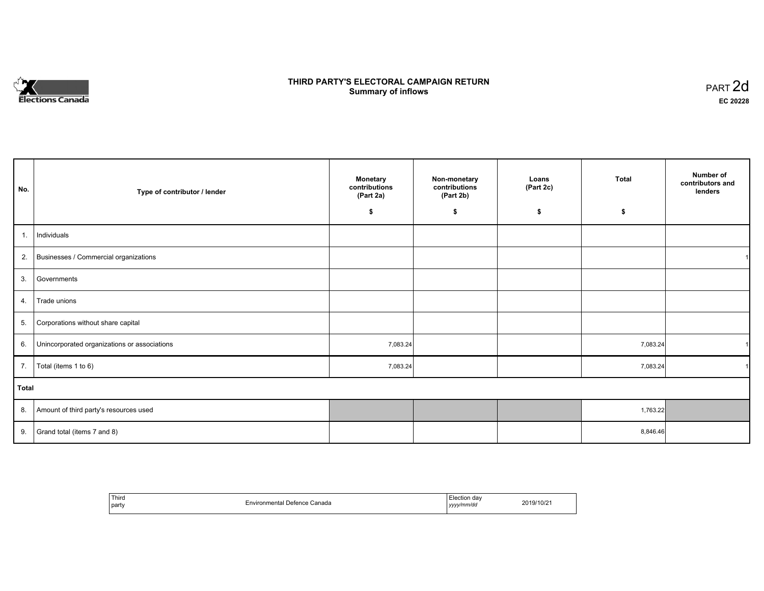

# **THIRD PARTY'S ELECTORAL CAMPAIGN RETURN S** ELECTORAL CAMPAIGN RETURN<br>Summary of inflows PART 2d

| No.   | Type of contributor / lender                 | <b>Monetary</b><br>contributions<br>(Part 2a) | Non-monetary<br>contributions<br>(Part 2b) | Loans<br>(Part 2c) | <b>Total</b> | Number of<br>contributors and<br>lenders |
|-------|----------------------------------------------|-----------------------------------------------|--------------------------------------------|--------------------|--------------|------------------------------------------|
|       |                                              | \$                                            | \$                                         | \$                 | \$           |                                          |
| 1.    | Individuals                                  |                                               |                                            |                    |              |                                          |
|       | 2. Businesses / Commercial organizations     |                                               |                                            |                    |              |                                          |
| 3.    | Governments                                  |                                               |                                            |                    |              |                                          |
| 4.    | Trade unions                                 |                                               |                                            |                    |              |                                          |
| 5.    | Corporations without share capital           |                                               |                                            |                    |              |                                          |
| 6.    | Unincorporated organizations or associations | 7,083.24                                      |                                            |                    | 7,083.24     |                                          |
| 7.    | Total (items 1 to 6)                         | 7,083.24                                      |                                            |                    | 7,083.24     |                                          |
| Total |                                              |                                               |                                            |                    |              |                                          |
|       | 8. Amount of third party's resources used    |                                               |                                            |                    | 1,763.22     |                                          |
| 9.    | Grand total (items 7 and 8)                  |                                               |                                            |                    | 8,846.46     |                                          |

| Third<br>  party | Environmental Defence Canada | -lection day<br>.<br>yyyy/mm/dd | 2019/10/21 |
|------------------|------------------------------|---------------------------------|------------|
|------------------|------------------------------|---------------------------------|------------|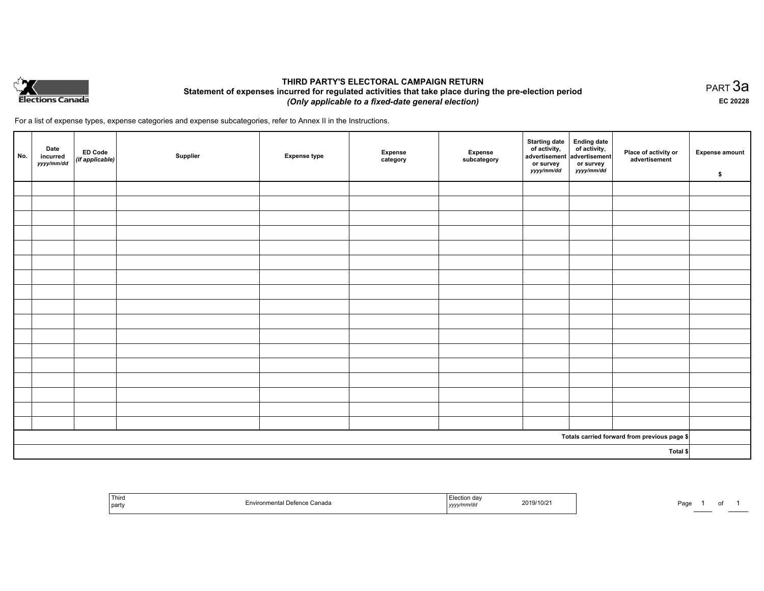

## **THIRD PARTY'S ELECTORAL CAMPAIGN RETURN Statement of expenses incurred for regulated activities that take place during the pre-election period**  *(Only applicable to a fixed-date general election)*

For a list of expense types, expense categories and expense subcategories, refer to Annex II in the Instructions.

| No.      | Date<br>incurred<br>yyyy/mm/dd | <b>ED Code</b><br>$\vert$ (if applicable) $\vert$ | Supplier | <b>Expense type</b> | <b>Expense</b><br>category | Expense<br>subcategory | <b>Starting date</b><br>of activity,<br>advertisement<br>or survey<br>yyyy/mm/dd | Ending date<br>of activity,<br>advertisement<br>or survey<br>yyyy/mm/dd | Place of activity or<br>advertisement        | <b>Expense amount</b><br>\$ |
|----------|--------------------------------|---------------------------------------------------|----------|---------------------|----------------------------|------------------------|----------------------------------------------------------------------------------|-------------------------------------------------------------------------|----------------------------------------------|-----------------------------|
|          |                                |                                                   |          |                     |                            |                        |                                                                                  |                                                                         |                                              |                             |
|          |                                |                                                   |          |                     |                            |                        |                                                                                  |                                                                         |                                              |                             |
|          |                                |                                                   |          |                     |                            |                        |                                                                                  |                                                                         |                                              |                             |
|          |                                |                                                   |          |                     |                            |                        |                                                                                  |                                                                         |                                              |                             |
|          |                                |                                                   |          |                     |                            |                        |                                                                                  |                                                                         |                                              |                             |
|          |                                |                                                   |          |                     |                            |                        |                                                                                  |                                                                         |                                              |                             |
|          |                                |                                                   |          |                     |                            |                        |                                                                                  |                                                                         |                                              |                             |
|          |                                |                                                   |          |                     |                            |                        |                                                                                  |                                                                         |                                              |                             |
|          |                                |                                                   |          |                     |                            |                        |                                                                                  |                                                                         |                                              |                             |
|          |                                |                                                   |          |                     |                            |                        |                                                                                  |                                                                         |                                              |                             |
|          |                                |                                                   |          |                     |                            |                        |                                                                                  |                                                                         |                                              |                             |
|          |                                |                                                   |          |                     |                            |                        |                                                                                  |                                                                         |                                              |                             |
|          |                                |                                                   |          |                     |                            |                        |                                                                                  |                                                                         |                                              |                             |
|          |                                |                                                   |          |                     |                            |                        |                                                                                  |                                                                         |                                              |                             |
|          |                                |                                                   |          |                     |                            |                        |                                                                                  |                                                                         |                                              |                             |
|          |                                |                                                   |          |                     |                            |                        |                                                                                  |                                                                         |                                              |                             |
|          |                                |                                                   |          |                     |                            |                        |                                                                                  |                                                                         |                                              |                             |
|          |                                |                                                   |          |                     |                            |                        |                                                                                  |                                                                         | Totals carried forward from previous page \$ |                             |
| Total \$ |                                |                                                   |          |                     |                            |                        |                                                                                  |                                                                         |                                              |                             |

| Third<br>  party | $\ddot{\phantom{a}}$<br>letenc<br>: Ganada | yyyynmuur | າ19/10/21<br>2019/ | ⊃ag∈ |  |  |  |
|------------------|--------------------------------------------|-----------|--------------------|------|--|--|--|
|------------------|--------------------------------------------|-----------|--------------------|------|--|--|--|

PART 3a **EC 20228**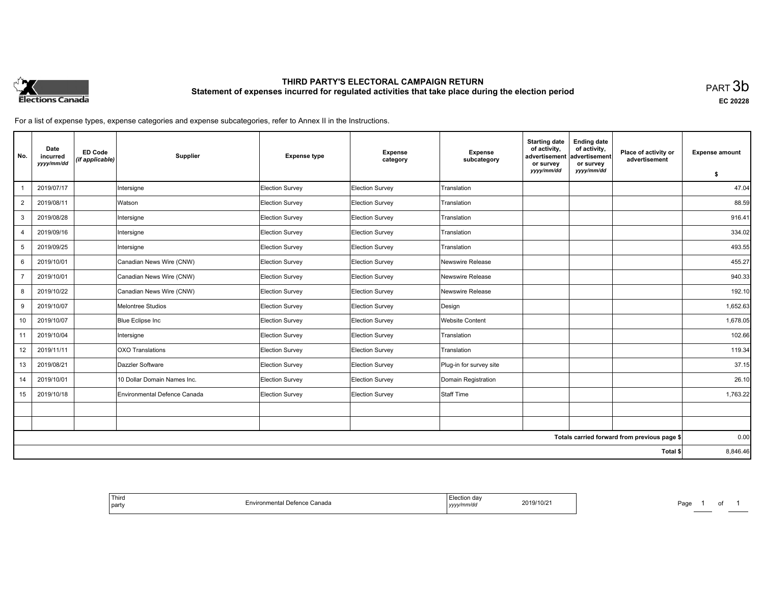

# **THIRD PARTY'S ELECTORAL CAMPAIGN RETURN Statement of expenses incurred for regulated activities that take place during the election period**<br>PART  $3\mathsf{b}$

**EC 20228**

For a list of expense types, expense categories and expense subcategories, refer to Annex II in the Instructions.

| No.            | Date<br>incurred<br>yyyy/mm/dd | <b>ED Code</b><br>(if applicable) | Supplier                     | <b>Expense type</b> | <b>Expense</b><br>category | <b>Expense</b><br>subcategory | <b>Starting date</b><br>of activity,<br>advertisement<br>or survey | <b>Ending date</b><br>of activity,<br>advertisement<br>or survey | Place of activity or<br>advertisement        | <b>Expense amount</b> |
|----------------|--------------------------------|-----------------------------------|------------------------------|---------------------|----------------------------|-------------------------------|--------------------------------------------------------------------|------------------------------------------------------------------|----------------------------------------------|-----------------------|
|                |                                |                                   |                              |                     |                            |                               | yyyy/mm/dd                                                         | yyyy/mm/dd                                                       |                                              | \$                    |
|                | 2019/07/17                     |                                   | Intersigne                   | Election Survey     | Election Survey            | Translation                   |                                                                    |                                                                  |                                              | 47.04                 |
| $\overline{2}$ | 2019/08/11                     |                                   | Watson                       | Election Survey     | Election Survey            | Translation                   |                                                                    |                                                                  |                                              | 88.59                 |
| 3              | 2019/08/28                     |                                   | Intersigne                   | Election Survey     | Election Survey            | Translation                   |                                                                    |                                                                  |                                              | 916.41                |
| $\overline{4}$ | 2019/09/16                     |                                   | Intersigne                   | Election Survey     | Election Survey            | Translation                   |                                                                    |                                                                  |                                              | 334.02                |
| 5              | 2019/09/25                     |                                   | Intersigne                   | Election Survey     | <b>Election Survey</b>     | Translation                   |                                                                    |                                                                  |                                              | 493.55                |
| 6              | 2019/10/01                     |                                   | Canadian News Wire (CNW)     | Election Survey     | <b>Election Survey</b>     | Newswire Release              |                                                                    |                                                                  |                                              | 455.27                |
| $\overline{7}$ | 2019/10/01                     |                                   | Canadian News Wire (CNW)     | Election Survey     | Election Survey            | Newswire Release              |                                                                    |                                                                  |                                              | 940.33                |
| 8              | 2019/10/22                     |                                   | Canadian News Wire (CNW)     | Election Survey     | Election Survey            | Newswire Release              |                                                                    |                                                                  |                                              | 192.10                |
| 9              | 2019/10/07                     |                                   | Melontree Studios            | Election Survey     | Election Survey            | Design                        |                                                                    |                                                                  |                                              | 1,652.63              |
| 10             | 2019/10/07                     |                                   | <b>Blue Eclipse Inc</b>      | Election Survey     | Election Survey            | <b>Website Content</b>        |                                                                    |                                                                  |                                              | 1,678.05              |
| 11             | 2019/10/04                     |                                   | Intersigne                   | Election Survey     | <b>Election Survey</b>     | Translation                   |                                                                    |                                                                  |                                              | 102.66                |
| 12             | 2019/11/11                     |                                   | OXO Translations             | Election Survey     | Election Survey            | Translation                   |                                                                    |                                                                  |                                              | 119.34                |
| 13             | 2019/08/21                     |                                   | Dazzler Software             | Election Survey     | Election Survey            | Plug-in for survey site       |                                                                    |                                                                  |                                              | 37.15                 |
| 14             | 2019/10/01                     |                                   | 10 Dollar Domain Names Inc.  | Election Survey     | <b>Election Survey</b>     | Domain Registration           |                                                                    |                                                                  |                                              | 26.10                 |
| 15             | 2019/10/18                     |                                   | Environmental Defence Canada | Election Survey     | Election Survey            | Staff Time                    |                                                                    |                                                                  |                                              | 1,763.22              |
|                |                                |                                   |                              |                     |                            |                               |                                                                    |                                                                  |                                              |                       |
|                |                                |                                   |                              |                     |                            |                               |                                                                    |                                                                  |                                              |                       |
|                |                                |                                   |                              |                     |                            |                               |                                                                    |                                                                  | Totals carried forward from previous page \$ | 0.00                  |
|                |                                |                                   |                              |                     |                            |                               |                                                                    |                                                                  | Total \$                                     | 8,846.46              |

| Third<br>l party | Environmental Defence Canada | Election day<br>2019/10/2<br>'mm/d<br>, , , , , , , | Page<br>ot |
|------------------|------------------------------|-----------------------------------------------------|------------|
|------------------|------------------------------|-----------------------------------------------------|------------|